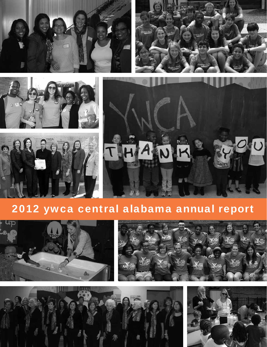









# 2012 ywca central alabama annual report







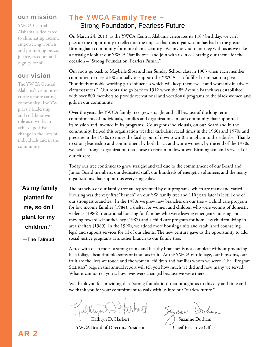#### our mission

YWCA Central Alabama is dedicated to eliminating racism, empowering women and promoting peace, justice, freedom and dignity for all.

### our vision

The YWCA Central Alabama's vision is to create a more caring community. The YW plays a leadership and collaborative role as it works to achieve positive change in the lives of individuals and in the community.

**"As my family planted for me, so do I plant for my children."**

**―The Talmud**

### The YWCA Family Tree – Strong Foundation, Fearless Future

On March 24, 2013, as the YWCA Central Alabama celebrates its  $110<sup>th</sup>$  birthday, we can't pass up the opportunity to reflect on the impact that this organization has had in the greater Birmingham community for more than a century. We invite you to journey with us as we take a nostalgic look at our YWCA "family tree" and join with us in celebrating our theme for the occasion – "Strong Foundation, Fearless Future."

Our roots go back to Maybelle Sloss and her Sunday School class in 1903 when each member committed to raise \$100 annually to support the YWCA as it fulfilled its mission to give "hundreds of noble working girls influences which will keep them sweet and womanly in adverse circumstances." Our roots also go back to 1912 when the  $8<sup>th</sup>$  Avenue Branch was established with over 800 members to provide recreational and vocational programs to the black women and girls in our community.

Over the years the YWCA family tree grew straight and tall because of the long term commitments of individuals, families and organizations in our community that supported its mission and invested in its programs. Courageous individuals, on our Board and in the community, helped this organization weather turbulent racial times in the 1960s and 1970s and pressure in the 1970s to move the facility out of downtown Birmingham to the suburbs. Thanks to strong leadership and commitment by both black and white women, by the end of the 1970s we had a stronger organization that chose to remain in downtown Birmingham and serve all of our citizens.

Today our tree continues to grow straight and tall due to the commitment of our Board and Junior Board members, our dedicated staff, our hundreds of energetic volunteers and the many organizations that support us every single day.

The branches of our family tree are represented by our programs, which are many and varied. Housing was the very first "branch" on our YW family tree and 110 years later is it still one of our strongest branches. In the 1980s we grew new branches on our tree – a child care program for low income families (1984), a shelter for women and children who were victims of domestic violence (1986), transitional housing for families who were leaving emergency housing and moving toward self-sufficiency (1987) and a child care program for homeless children living in area shelters (1989). In the 1990s, we added more housing units and established counseling, legal and support services for all of our clients. The new century gave us the opportunity to add social justice programs as another branch to our family tree.

A tree with deep roots, a strong trunk and healthy branches is not complete without producing lush foliage, beautiful blossoms or fabulous fruit. At the YWCA our foliage, our blossoms, our fruit are the lives we touch and the women, children and families whom we serve. The "Program Statistics" page in this annual report will tell you how much we did and how many we served. What it cannot tell you is how lives were changed because we were there.

We thank you for providing that "strong foundation" that brought us to this day and time and we thank you for your commitment to walk with us into our "fearless future."

Kathryn D. Harbert YWCA Board of Directors President

Suzanne 12

Suzanne Durham Cheif Executive Officer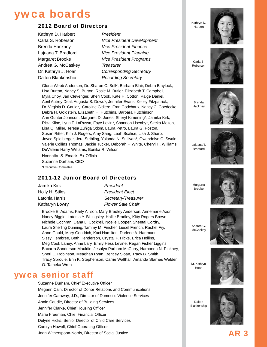# ywca boards

#### 2012 Board of Directors

Kathryn D. Harbert *President* Andrea G. McCaskey *Treasurer* Dalton Blankenship *Recording Secretary*

Carla S. Roberson *Vice President Development* Brenda Hackney *Vice President Finance* Lajuana T. Bradford *Vice President Planning* Margaret Brooke *Vice President Programs* Dr. Kathryn J. Hoar *Corresponding Secretary*

Gloria Webb Anderson, Dr. Sharon C. Bell\*, Barbara Blair, Debra Blaylock, Lisa Burton, Nancy S. Burton, Rosie M. Butler, Elizabeth T. Campbell, Myla Choy, Jan Clevenger, Sheri Cook, Kate H. Cotton, Paige Daniel, April Autrey Deal, Augusta S. Dowd\*, Jennifer Evans, Kelley Fitzpatrick, Dr. Virginia D. Gauld\*, Caroline Gidiere, Fran Godchaux, Nancy C. Goedecke, Debra H. Goldstein, Elizabeth H. Hutchins, Barbara Hutchinson, Ann Gunter Johnson, Margaret D. Jones, Sheryl Kimerling\*, Jamika Kirk, Ricki Kline, Lynn F. LaRussa, Faye Levin\*, Shannon Lisenby\*, Sireka Melton, Lisa Q. Miller, Teresa Zúñiga Odom, Laura Petro, Laura G. Poston, Susan Ritter, Kim J. Rogers, Amy Saag, Leah Scalise, Lisa J. Sharp, Joyce Spielberger, Jera Stribling, Yolanda N. Sullivan\*, Gwendolyn C. Swain, Valerie Collins Thomas, Jackie Tucker, Deborah F. White, Cheryl H. Williams, DeValerie Harry Williams, Bonika R. Wilson

Henrietta S. Emack, Ex-Officio Suzanne Durham, CEO \*Executive Committee

### 2011-12 Junior Board of Directors

| Jamika Kirk     | President                |
|-----------------|--------------------------|
| Holly H. Stiles | <b>President Elect</b>   |
| Latonia Harris  | Secretary/Treasurer      |
| Katharyn Lowry  | <b>Flower Sale Chair</b> |

Brooke E. Adams, Karly Allison, Mary Bradley Anderson, Annemarie Axon, Nancy Biggio, Latonia Y. Billingsley, Hallie Bradley, Kitty Rogers Brown, Nichole Cochran, Dana L. Cockrell, Noelle Cooper, Sheetal Cordry, Laura Sherling Dunning, Tammy M. Fincher, Liesel French, Rachel Fry, Anne Gauld, Mary Goodrich, Kaci Hamilton, Darlene A. Hartmann, Sissy Hembree, Beth Henderson, Crystal F. Hicks, Erica Hollins, Meg Cook Laney, Anne Lary, Emily Hess Levine, Regan Fisher Liggins, Bacarra Sanderson Mauldin, Jesalyn Parham McCurry, Harhonda N. Pinkney, Sheri E. Robinson, Meaghan Ryan, Bentley Sloan, Tracy B. Smith, Tracy Sproule, Erin K. Stephenson, Carrie Walthall, Amanda Starnes Welden, O. Tameka Wren

# ywca senior staff

Suzanne Durham, Chief Executive Officer Megann Cain, Director of Donor Relations and Communications Jennifer Caraway, J.D., Director of Domestic Violence Services Annie Caudle, Director of Building Services Jennifer Clarke, Chief Housing Officer Marie Freeman, Chief Financial Officer Delyne Hicks, Senior Director of Child Care Services Carolyn Howell, Chief Operating Officer Joan Witherspoon-Norris, Director of Social Justice

Kathryn D. Harbert



Carla S. Roberson



Brenda **Hackney** 



Lajuana T. Bradford



Margaret Brooke





Dr. Kathryn Hoar



Dalton Blankenship

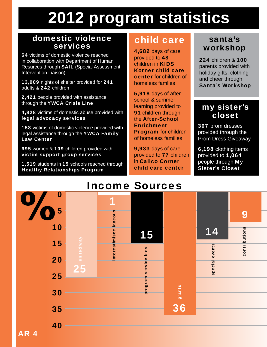# **2012 program statistics**

# domestic violence child care

64 victims of domestic violence reached in collaboration with Department of Human Resurces through SAIL (Special Assessment Intervention Liaison)

13,909 nights of shelter provided for 241 adults & 242 children

2,421 people provided with assistance through the YWCA Crisis Line

4,828 victims of domestic abuse provided with legal advocacy services

158 victims of domestic violence provided with legal assistance through the YWCA Family Law Center

695 women & 109 children provided with victim support group services

1,519 students in 15 schools reached through Healthy Relationships Program

4,682 days of care provided to 48 children in KIDS Korner child care center for children of homeless famlies

5,918 days of afterschool & summer learning provided to **91** children through the After-School **Enrichment Program** for children of homeless families

9,933 days of care provided to 77 children in Calico Corner child care center

# santa's workshop

224 children & 100 parents provided with holiday gifts, clothing and cheer through Santa's Workshop

# my sister's closet

307 prom dresses provided through the Prom Dress Giveaway

6,198 clothing items provided to 1,064 people through My Sister's Closet

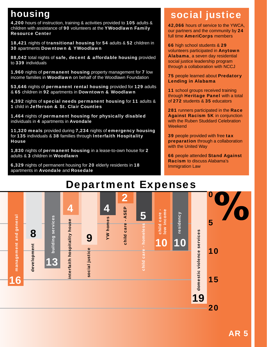4,200 hours of instruction, training & activities provided to 105 adults & children with assistance of 90 volunteers at the YWoodlawn Family Resource Center

18,421 nights of transitional housing for 54 adults & 52 children in 30 apartments Downtown & YWoodlawn

88,042 total nights of safe, decent & affordable housing provided to 339 individuals

1,960 nights of permanent housing property management for 7 low income families in Woodlawn on behalf of the Woodlawn Foundation

53,646 nights of permanent rental housing provided for 129 adults & 65 children in 92 apartments in Downtown & Woodlawn

4,392 nights of special needs permanent housing for 11 adults & 1 child in Jefferson & St. Clair Counties

1,464 nights of permanent housing for physically disabled individuals in 4 apartments in **Avondale** 

11,320 meals provided during 7,234 nights of emergency housing for 135 individuals & 38 families through Interfaith Hospitality **House** 

1,830 nights of permanent housing in a lease-to-own house for 2 adults & 3 children in Woodlawn

6,329 nights of permanent housing for 20 elderly residents in 18 apartments in Avondale and Rosedale

# housing **social justice**

42,066 hours of service to the YWCA, our partners and the community by 24 full time **AmeriCorps** members

66 high school students & 29 volunteers participated in Anytown Alabama, a seven day residential social justice leadership program through a collaboration with NCCJ

**75 people learned about Predatory** Lending in Alabama

11 school groups received training through Heritage Panel with a total of 272 students & 35 educators

281 runners participated in the Race Against Racism 5K in conjunction with the Ruben Studdard Celebration **Weekend** 

39 people provided with free tax preparation through a collaboration with the United Way

66 people attended Stand Against Racism to discuss Alabama's Immigration Law

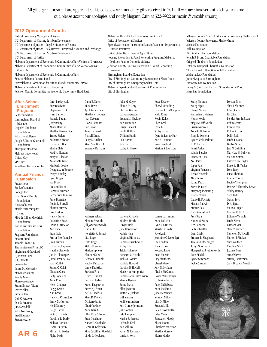All gifts, great or small are appreciated. Listed below are monetary gifts received in 2012. If we have inadvertantly left your name out, please accept our apologies and notify Megann Cain at 322-9922 or mcain@ywcabham.org.

#### **2012 Operational Grants**

Federal Emergency Management Agency

- U.S. Department of Housing & Urban Development
- US Department of Justice Legal Assistance to Victims
- US Department of Justice Safe Havens: Supervised Visitation and Exchange U.S. Department of Housing & Urban Development
- 
- U.S. Department of Justice
- Alabama Department of Economic & Community Affairs Victims of Crime Act Alabama Department of Economic & Community Affairs Violence Against Women Act

Lynn Baxley Ault Suzanne Bair Stephanie Banks Nina Barnes Pamela Baugh Judy Beatty

Dana B. Davis Mitzi Davis April Autrey Deal Martha R. DeBuys Judy Deegan Gloria Dennard Sue Dixon Augusta Dowd Russell Drake Patsy D. Dreher Mary Sue Durant Suzanne Durham

Alabama Department of Economic & Community Affairs State of Alabama General Fund

ServeAlabama-Corporation for National and Community Service

Alabama Department of Human Resources

Jefferson County Committee for Economic Opportunity Head Start

#### **After-School Enrichment Program**

Belk Foundation Birmingham Board of Education Crippled Children's Foundation John Everett Denton Joseph S. Bruno Charitable Foundation Mary Jane Meadows Melinda Underwood United Way VP Funds Woodlawn Foundation Inc

#### **Annual Friends Campaign**

Anonymous Bank of America Bottega Inc Craft O'Neal Family Foundation House of Electa Merck Partnership for Giving Mike & Gillian Goodrich Foundation Ronne and Donald Hess Foundation Stephens Foundation Stewart Fund Temple Emanu-El The Fonteneau Firm LLC Virginia and Crawford Johnson Fund Jill J. Abbott Susie Abbott Laura M. Abernethy McCauley Adams Wendy Adams Mamie Alexander Susan Emack Alison Evelyn Allen James Allen Gail C. Andrews Jenelle Andrews Jane Arendall John Armstrong Freddi Aronov Suzanne Ashe

AR 6

Alison Berman Martha Warren Bidez Tracey Bielen Katherine Bishop Barbara L. Blair Sheila Blair Kaki H. Blanton Mary M. Bledsoe Antonietta Bone Kimberly Boone Georgia Ann Boutwell Evelyn Bradley Lynn Briggs Pat Brown Lee Ann Bruno Barbara Brunson Derry Brice Bunting Anne Burnette Robin L. Burrell Sharon Burrow Lisa Burton Nancy Burton Catherine Bush Levoria Bushelon Ann Cade Fran Cade Arthur Ree Campbell Jim Cauthen Barbara Chapman Natalie Clements Jan M. Clevenger James Presley Cole Patsy Collat Susan C. Colvin Claudia Cook Betty Copeland Anne Couch Helen Crabtree Peggy Crone Nan Crow Nancy L. Crumpton Emily M. Curran Heidi Damsky Paige Daniel Vicki S. Daniels Caroline R. Darby Melissa Darden Oscar Dauphin Miriam R. Davies Alpha Davis

Alabama Office of School Readiness Pre-K Grant

- Office of Prosecutorial Services
	- Special Assessment Intervention Liaison/ Alabama Department of Human Resources
	- United States Department of Agriculture
	- Housing Prevention & Rapid Rehousing Program/Alabama Coalition Against Domestic Violence
	- Jefferson County Housing Prevention & Rapid Rehousing Program
	- Birmingham Board of Education
	- City of Birmingham Community Development Block Grant
	- City of Birmingham Emergency Shelter Grant
	- Alabama Department of Economic & Community Affairs City of Birmingham

Julia M. Goyer Shaun D. Gray Eleanor Griffin Barbara Guyton Brenda M. Hackney Kaci Hamilton Leigh Hancock Judith H. Hand William Hanlin Lila Hardin Sandra J. Harris Cathy R. Harvey

Joyce Kessler Sheryl Kimerling Patricia Kirk-McAlpine Ricki Kline Robin Kolber Sheri Krell Irene Ku Kathy Kyzer Cynthia Lamar-Hart Ann B. Lambert Rose Langford Marion S. Lankford



Kathryn Eckert Allyson Edwards Jill Jowers Edwards Dana Ellis Henrietta S. Emack Lisa Engel Ruth Engel Melba Epsman Marian Epstein Eleanor Estes Rebecca Eubanks Rachel Fargason Lynne Faulstich Barbara Fine Grace K. Finkel Deborah Fisher Karen Fitzpatrick Beverly J. Foster Nell B. Fredella Mary D. French William Gantt Cheri Gardner Anne Gauld Ethel Ellis Gibson Fran Godchaux Nancy C. Goedecke Debra H. Goldstein Mike & Gillian Goodrich Linda L. Gooldrup

Carleta R. Hawley Mildred Heath Ginger Held Jane Henderson Kathie Hiers Virginia Hillhouse Barbara Hirschowitz Kathy Hoar Tricia Holbrook Heyward C. Hosch III Melissa Howard Patricia Howard Carolyn B. Howell Madelynn Humphries Barbara Ann Hutchinson Mamie Hymes Berne Irwin Ellen Jackson Mattie M. Jackson Vail Jeavons Kelli Jetmundsen Ann Gunter Johnson Julie Jordan Esta Kamplain Nazha B. Kassouf LaVonda Keel Kay Kellum Karen N. Kennedy Lynda A. Kern

Anne LaRussa Lynn F. LaRussa Marilynn Leeds Faye Levin Jeannine C. Llewellyn Eve London Nancy Long Roberta Lowe Koko Mackin Lizy Matthews Cheryl Mayer Amy N. McCain Phyllis McCombs Roger McCullough Catherine McLean Patty McRoberts Anna McWane Jane Menendez Jennifer Miller Lisa Q. Miller Brenda Mills Helen Crow Mills Betsy Miree Sara Allen Moody Alisha Moore Elizabeth Morrison Martha Morrow Elaine Mosley

Lamar Larrimore

Jefferson County Board of Education - Emergency Shelter Grant Jefferson County Emergency Shelter Grant Allstate Foundation Belk Foundation Birmingham Bar Foundation Joseph S. Bruno Charitable Foundation Crippled Children's Foundation Estelle S. Campbell Charitable Foundation The Mike and Gillian Goodrich Foundation Alabama Law Foundation Junior League of Birmingham Protective Life Foundation Henry G. Sims and Henry U. Sims Memorial Fund Mary Kay Foundation

Kathy Mouron Kathy Myatt Cheryl Nelson Katherine J. Nielsen Nancy Noble Meg McGriff North Susan Nuckolls Annetta W. Nunn Ruth B. Ozment Lynlee Wells Palmer E. W. Parish Jenni Parker Valerie Pasche Lenora W. Pate Anil Patel Bipin Patel Virginia Patterson Renee Peacock Alice Petro Laura Petro Karen Piassick Mary Kay Pickering Diana Plosser Claire H. Puckett Marian Radwin Minnie Rast Judy Rotenstreich Amy Saag Nancy M. Sales Deb Sanders Beth Schaeffer Lynn Shebs Frances B. Shepherd Teresa Shufflebarger Tanya Shunnara Margaret S. Shuttlesworth Pam Siddall Lynne Simmons Jackie Simons



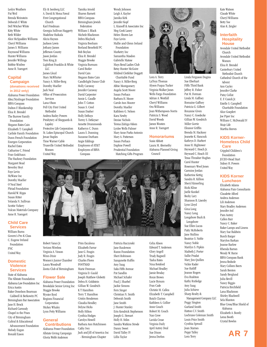Leslyn Weathers Pat Weil Brenda Weinstein Deborah F. White Dell Witcher White Kitty White Beth Wilder Alice McSpadden Williams Cheryl Williams James S. Williams Raymond Williams Hunter Williams Jennifer Willings Bobbie Winfree Anne R. Yuengert

#### **Capital Campaign (donations received**

**in 2012 only)** Alabama Power Foundation

Altec/Styslinger Foundation BBVA Compass Dalton F. Blankenship Elna R. Brendel The Burrow Family Foundation Megann Bates Cain Elizabeth T. Campbell Carlisle Family Foundation Dunn French Foundation Energen Corporation Rachel Estes Catharine C. Friend Fran Godchaux The Hackney Foundation Margaret Head Beverley Hoyt Faye Levin McWane Inc Dorothy Mueller O'Neal Steel Pleiad Foundation Harold W. Ripps Susan Ritter Yolanda N. Sullivan Scottie Vickery Vulcan Materials Company Anne R. Yuengert

#### **Child Care Services**

William Burns Govern's Pre-K Class C. Eugene Ireland Foundation PNC United Way

#### **Domestic Violence Services**

State of Alabama The Allstate Foundation Alabama Law Foundation Inc Erica Austin Baker Donelson Bearman Caldwell & Berkowitz PC Birmingham Bar Association Jane H. Brock Richard Carmody Chapel in the Pines City of Birmingham Cultral & Educational Advancement Foundation Melody Eagan Ronald Eason

Ely & Isenberg LLC A. David & Mona Fawal First Congregational Church Karl Friedman Georgia Sullivan Haggerty Madeline Haikala Alicia Haynes Jackson Lewis Jothany James Jefferson County Jason Jordan Tom King Jr. Lightfoot Franklin & White LLC James Lloyd Mary McWhirter Nancy A. Miller-Borg Dorothy Mueller Jack Neal Office of Prosecution Services Lana Olson Pell City First United Methodist Andrea Bailey Powers Presbytery of Sheppards & Lapsley Protective Life Corporation St. Lukes Episcopal Church Jenae Staples Time Warner Cable Trussville United Methodist Women United Way

Tamika Arnold Sharon Barnett BBVA Compass Birmingham Jewish Federation William I. Black Michele Blackmon Debra Blaylock Virginia Bonham Borland Benefield PC Bob Boylan Elna R. Brendel Maggie Brooke Virginia Burnum Carol Butler David Cain Megann Bates Cain Candlelight Dance Club Holly Caraway Jennifer Caraway David Carpenter Annie L. Caudle John T. Cotton Susan S. Creel Susan Dasher Holly DeBuys Torrey S. DeKeyser Annette Drummonds Katheryn C. Dunn Laura S. Dunning Suzanne Durham Angie Eddings Employees of AT&T Employees of BBVA Compass

Wendy Johnson Leigh A. Kaylor Jamika Kirk Jennifer Kopf L. Kianoff & Associates Inc Meg Cook Laney Helen Shores Lee Faye Levin Mallie and Glenn Ireland Foundation Marketry Inc Samantha Masdon Gabrielle Matese Mays Bend Ladies Club Betsy Hunter McGuire Mildred Clotfelter Doggett Charitable Fund Nancy A. Miller-Borg Abbie Montgomery Angela Scott Moore Susan Perhacs Barbara H. Moore Carole Ann Moorer Dorothy Mueller Kathleen G. Nelson Kara Newby Denise Nichols Teresa Zúñiga Odom Lynlee Wells Palmer Mary Anne Parks-Antonio Mary A. Patterson Susan Perhacs Daphne Powell Prudential Foundation Matching Gifts Program



Lora A. Terry LaToya Thomas Alyson Fuqua Tucker Virginia Walker Jones Wells Fargo Foundation Adrian A. Westfall Cheryl Williams Ora Williams Joan Witherspoon-Norris Patricia S. Wood David Woods James Wooten Anne R. Yuengert

#### **Honorariums**

Susie Abbott Laura M. Abernethy Alabama Planned Giving Council



Robert Vance Jr. Verizon Wireless Virginia A. Vinson Winn-Dixie Women's Junior Chamber Laura Woodruff Zonta Club of Birmingham

#### **Flower Sale**

Alabama Power Foundation Brookdale Senior Living Inc Maggie Brooke Wynter Byrd Regions Financial Corporation Mickey Whaley Lynn Petty Williams **General**  Joseph Matthew Globetti Debra H. Goldstein Gillian W. Goodrich K T Hamilton Terry T. Hamilton Cristin Henderson Claudia Hendley Delyne Hicks Holly Hilton Cynthia Hodges Carolyn Howell Barbara Ann Hutchinson

#### **Contributions** Alabama Power Foundation

Allstate Giving Campaign Gloria Webb Anderson Cathy Ivey Jack and Jill of America Inc - Birmingham Chapter

Prim Escalona Elizabeth Farrar Jane G. Feagin Judy R. Feagin Charles Flores FOOTMAD Marie Freeman Virginia D. Gauld

Patricia Raczynski Jane Raulerson Razoo Foundation Sheri Robinson Sanqunette Ruffin Amy Saag Saks Fifth Avenue Pat Sandlin Michael Schafer Paul J. Sharbel Jackie Simons Fern Singer Christian N. Smith Deborah Smith Jane Smith J. Hunter Stanley Erin Kendrick Stephenson Joseph G. Stewart Holly H. Stiles Sandra Watkins Strode Danny Sweet David Talley IV Lillis Taylor

Celia Alison Edward T. Anderson Glory Angell Trudy Bagwell Tasha Bates Nina Botsford Michael Bradley Jamie Broday Roxie Brown Lucie Bynum Fran Cade Christie M. Callea Elizabeth T. Campbell Butch Clayton Kathleen A. Collier Anne Couch Robert M. Couch Nan Crow Lavida Cruse Virginia Daily April Autrey Deal Sue Dixon Jenna Dorlon

Linda Ferguson Dugins Sue Eberhart Fifth Third Bank Jeffrey R. Fisher Pat M. Forman Linda M. Gaffney Romaine Gaffney Patricia G. Gilbert Roxanne Given Nancy C. Goedecke Gillian W. Goodrich Miller Gorrie Eleanor Griffin Brenda M. Hackney Jeanette K. Hancock Kathryn D. Harbert Anne H. Hightower Heyward C. Hosch Jr. Heyward C. Hosch III Tessa Thrasher Hughes Carol Hunter Rosemary Wool Jones Carmine Jordan Katherine Kettig Sandra R. Killion Sheryl Kimerling Ricki Kline Joelle Kunkel Becky Lary Shannon B. Lisenby Lynn Lloyd Gina Long Nancy Long Longshore Buck & Longshore Sue Ellen Lucas Patty McRoberts Jane Mullins Beatrice S. Noble Nancy Noble Marilyn S. Pipkin Maibeth J. Porter Sallie Pradat Mary Jim Quillen Vickie Rader Sue Ratliff Jeanne Rogers Eva Rushton Kathy Rutledge Amy Saag Julia Schieve Sharp Realty & Management Company LLC Peggy Sington Garland Smith Hatton C.V. Smith Lochrane Coleman Smith Louis Price Smith Cynthia Sproull Joan Starnes

Peppi Talley Lora Terry

Kate Watson Claude White Cheryl Williams Betty Yoe Alan K. Zeigler

#### **Interfaith Hospitality House**

Avondale United Methodist Church Avondale United Methodist Women Elna R. Brendel Canterbury United Methodist Church Cathedral Church of the Advent Ann Cayley Jennifer Clarke Patsy Collat E. F. Cusick Jr. Estelle S. Campbell Charitable Foundation Alice Goepfert Joe Piper Inc William C. McDonald IV Muje Life Martha Reeves

#### **KIDS Korner-Homeless Child Care**

Crippled Children's Foundation JCCEO-Head Start Sidney H. Powers United Way

#### **KIDS Korner Luncheon**

Elizabeth Adams Alabama Pain Consultants Claudette Alford Andrea Anderson Lili Anderson Mary Bradley Anderson Jennifer Ard Pam Autrey Callen Bair Nancy C. Baker Baker Lamps and Linens Mary Sue Baldwin Burch Barger Marylon Barkan Jeanne Barlow Rhenda Barnes Wendy W. Barze BBVA Compass Bank Jenna Bedsole Mary Colleen Beers Sarah Benton Sandy Berglund Julia Bevill Nancy Biggio Patricia Birchfield Lana Blackmon Shirley Blackwell Sela Blanton Blue Cross/Blue Shield of Alabama Elizabeth A. Bontly Leesa Booth Crystal Bowles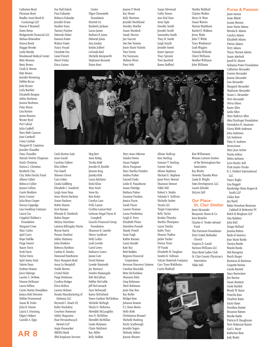Catherine Boyd Floranne Boyd Bradley Arant Boult & Cummings LLP Marcie P. Braswell Dawn Brian Bridgeworth Financial LLC Melissa Brisendine Donna Brock Maggie Brooke Leslie Brooks Brookwood Medical Center Betty Broome Betsy Brown Cindy K. Brown Kitty Brown Jennifer Browning Debbie Bryan Julie Bryant Leila Buehler Elizabeth Burgess Ashley Burleson Joanna Burleson Patsy Burns Lisa Burton James Bussian Wynter Byrd Peri Cabral Julia Caddell Mary Beth Cannon Joan Cardwell Crissy Carlisle Margaret B. Cassimus Jennifer Chandler Patsy Chandler Mariah Nowlin Chapman Emily Christian Donna L. Christian Kimberly Clay Clay Stiles Family Fund Allison Collier Rebecca Collier Jeanne Collins Contri Brothers Jenny Cooney Julia Boaz Cooper Donna Coppedge Lisa Gooldrup Costanzo Laura Cox Crippled Children's Foundation Margaret Cross Marc Curles April Curry Hope Dahlke Paige Daniel Stacey Davis Scott Davis Taylor Davis April Autrey Deal Valerie Dean Embree Deason Joyce DeJonge Lauren C. DeMoss Dianne DeShazer Laura Dillion Carrie Martin Donaldson Jessica Kirk Drennen Debbie Drummond Susan W. Dulin Julia B. Dunne Laura S. Dunning Edgar's Bakery Camille A. Epps

## AR 8

Sue Hall Esleck Pam Eubanks Rebecca Eubanks Jennifer Evans Heather Fann Tammy Fincher Deborah Fisher Katonia Foster Walton Foster Nancy Fouad Charlotte Fox Liesel French Sherri Friday Erica Gaines

Center Illges-Chenoweth Foundation Harriett Ivy Kimberly Jackson Laura James Barbara B. Jones Deborah Jones Amy Jordan Kristin Julbert LaVonda Keel Michelle Kempwerth Stephanie Kennedy Diane Kent

Jeanne P. Monk Kay Moore Kelly Morrison Jennifer Morthland Dorothy Mueller Susan Murdock Sandy Murvin Jan Naccari Dee Dee Newton Jeane Marie Nichols Tom Norris Pat Numnum Melissa Oliver Pam Orth

Susan Silvernail Cathy Simon Ann Dial Sims Anne Siple Dorothy Smith Jennifer Smith Samantha Smith Tracy B. Smith Leigh Smyth Jennifer Sneed Karen Spencer Tracy Sproule Tom Spurlock Karen Stafford

Martha Walthall Clayton Walton Henry B. Ware Susan Warren Marian Washburn Rachel E. Watkins Jenny Watts John T. White Tracy Wiedmeyer Leah Wiggins Yulonda Wilhoite Cheryl Williams Heather Williams John Williams



Carla Burton Gale Anne Gauld Caroline Gidiere Rita Gilbert Pat Gissell Shereen Glover Cara Gober Cinda Goldberg Elizabeth C. Goodrich Leigh Anne Haas Anne Morris Hackney Susan Hackney Robin Hamm Scot Hansen Rhonda R. Hardwick Robin Harper Melany Harrelson Latonia Billingsley Harris Wayne Harris Penney Hartline Ashley Hattaway Julia Hawkins Rebecca Hawkins Carleta R. Hawley Desmond Hawthorne Mary Margaret Head Anna Lu Hemphill Noelle Herren Crystal Hicks Paige Hockman Cynthia Hodges Erica Hollins Lauren Holmes Honda Manufacturing of Alabama LLC Heyward C. Hosch III Kathy Huckabay Courtney Huesman Ashley Hugunine Huie Fernambucq & Stewart LLP Angie Hunsucker IBERIA Bank IBM Employee Services

Anne Kettig Tenika Kidd Jennifer B. Kimble Jimmie King Jamika Kirk Laura Kitchens Ricki Kline Mary Koch Irene Ku Kim Kuhn Carolyn Lam Polly Lamar Cynthia Lamar-Hart Leitman Siegal Payne & Campbell Lincoln Financial Group Foundation Shannon B. Lisenby Sherry Lockhart Holly Lollar Leah Lovette Carol Lowry Katharyn Lowry Jamee Lutz David Malone Lynette Mantooth Joy Martucci Sondra Massengale Rob McCallum Debbie McCorkle Jeff McCormack Sara McDonald Karen McFarland Dawn Gardner McGlothan Michelle McHugh Sheila O. McKenna Meredith McLaughlin Ann D. McMillan Meredith McMillan Linda McQueen Claire Melchiori Kay Miller Kelly Moffatt

Meg Kerr

Sandra Owens Susan Padgett Alicia Pangman Mary Martha Parisher Andrea Parker Gaynell Parks Leslie H. Passafiume Susan Patridge Barbara Patton Suzanne Paulson Jessica Payne Sarah Payne Lauren Pearson Laura Pemberton Leigh D. Perry Elizabeth Pharo Hamilton Pounds Mandy Powell Susie Pugh Kathie Ramsey Laura Randle Kate Ray Britt Redden Regions Financial Corporation Revenue Discovery Systems Caroline Reynolds Betsy Richardson Shannon Riley Greg Robinson Sheri Robinson Janie Mac Roe Kay Roller Bridget Rose Johanne Rosene .<br>P. J. Rossi-Boren Holly Roth Christianna Roussel Michelle Rushing Emily Scarbrough Jennifer Segers .<br>Melinda Sellers Jeanne Shearer

Kim Starling Sumner T. Starling Connie Stein Allison Stephens Michael E. Stephens Janet Perry Stewart Shannon Stewart Nikki Still Robert A. Studin Yolanda N. Sullivan Michelle Surber Tacala LLC Target Corporation Kelly Taylor Kendra Thomley Martha Thompson Laura Tomlin Kathy Tracy Eleanor Trafton Jackie Tucker Donna Tyner VP Funds Elizabeth M. Vaughan Sandra K. Vollman Vulcan Materials Company Cary Tynes Wahlheim Carrie Walthall



#### **Purse & Passion** Janet Aarons

Susie Abbott Louise Abroms Anne-Marie Adams Brenda B. Adams Carolyn Adams Elizabeth Adams Patrice Adams Terry Adams Tracey Morant Adams Susan Aderholt Janell M. Ahnert Alabama Power Foundation Catherine Alexander Connie Alexander Jeanne Alexander Lisa Alexander Margaret Alexander Stephanie Alexander Susan L. Alexander Terri Alexander Olivia Alison Karen Allen Leslie Allen Mary Kathryn Allen Altec/Styslinger Foundation Gwendolyn R. Amamoo Gloria Webb Anderson Julia Anderson Lili Anderson Patsy H. Andrews Anonymous Mary Jean Archer Tonita Arthur Debra Atchison Lynn Baxley Ault Pratt Austin-Trucks B. L. Harbert International LLC Nancy Bagby Lisa Baggett Bainbridge Mims Rogers & Smith LLP Callen Bair Jan Baird Baker Donelson Bearman Caldwell & Berkowitz PC Balch & Bingham LLP Nan Baldwin Julia Ball Ginger Ballard Juanita Balton Bank of America Jean Marie Banks Tamica Banks Wanda Banks Deb Baragona Burch Barger Barineau & Barineau Coquette Barnes Carole Barnett Stacy Barrentine Susan Barstein Cindy Bartlett Wendy W. Barze Priscilla Bass Charlene Bates Dorothea Batiste Roxanne Batson Brooke Battle Patricia B. Baughman Terri McKenzie Baxter



Kim Williamson Women Lawyers Section of the Birmingham Bar Onwotta Tameka Wren Linda B. Wright Yates Development, LLC Laurie Zelinski DeLynn Zell

#### **Our Place-St. Clair Shelter**

Janet Alexander Benjamin Moore & Co June Brascho Charles O. Trotter Advised Fund The Fairmont Foundation First United Methodist Church Virginia D. Gauld Harmon Williams LLC Mays Bend Ladies Club St. Clair County Physician's Association Nikki Still

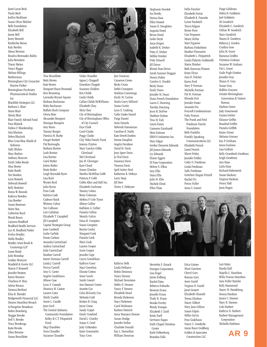Janet Lucas Beck Paula Beck Joellyn Beckham Susan Oliver Belcher Belk Foundation Elizabeth Bell Jamie Bell Jenny Bennett Kimberlee Benos Katy Bentley Alison Berman Rosalva Bermudez-Ballin Julia Bernstein Tracey Bielen Nancy Biggio Melissa Billings BioHorizons Birmingham City Councilor Maxine Parker Birmingham Psychiatry Pharmaceutical Studies Inc Blackfish Strategies LLC Barbara L. Blair Marie Blair Sheila Blair Blair Family Advised Fund Pam Blalock Dalton F. Blankenship Sela Blanton Debra Blaylock Blue Cross Blue Shield of Alabama Sally Bluhm Mary Boehm Anthony Boncore Emily Sides Bonds Alisa Boone Katie Booth Teri Borders Lynn Bostock Deborah Boswell Kelly Bottcher Roma W. Bounds Kathryn Bowden Lisa Bowker Susan Bowman Marty Box Catherine Boyd Wendi Boyen Lajuana Bradford Bradford Health Services Lyn M. Bradford Parker Evelyn Bradley Hallie Bradley Bradley Arant Boult & Cummings LLP Lessie Brady Julie Brandup Lindsey Branyon Brasfield & Gorrie LLC Marcie P. Braswell Jennifer Bratton Karen Braxton Charlena H. Bray Arlene Breaux Simona Breibart Elna R. Brendel Bridgeworth Financial LLC Sharon Hamilton Broach LeTangelon Broadnax Robin Bromberg Maggie Brooke Dell S. Brooke Tracy Brookings Katie Brooks Ellen Broome Susan Brouillette





Vickie Chandler Agnes J. Chappell Ernestine Chapple Suzanne Childers Kris Childs Linda Childs Callan Childs McWilliams Elizabeth Choy Myla Choy City of Birmingham City of Birmingham Office of City Council Faye Clark Carol Clarke Peggy Clarke Clay Stiles Family Fund Joanna Clayton Mary Carolyn Gibbs Cleveland Mel Cleveland Jan M. Clevenger Kaye Cloud Susan Clowdus Martha McMillan Cobb Patricia P. Cobb Cobbs Allen and Hall Inc. Elizabeth Cochrane Tammy Cohen Beaty Coleman Alethea P. Cole-Tyson Allison Collier Kathleen A. Collier Pamela Collins Memily Colvin Dana R. Compton Susan Compton Bonita Conley Margaret Cook Pamela Cook Sheri Cook Lauren Cooper Suzie Cooper Jennifer Cope Caryn Corenblum Kathryn Corey Staci Cornelius Elouise Cotton Anne Couch Sarah Cowart Ann Hamner Cowin Annette Cox Celia McGarity Cox Melinda Craft Kristen B. Craig Jayne Crane Sandy Crapet Emily Crawford David L. Crawley Susan S. Creel Judy Crittenden Katie Crommelin

Jim Cronican Cameron Crowe Becky Crum Debbi Crumpton Marlena Cummings Emily M. Curran Starla Curry-Hilliard Susan Curtin Lynn E. Cushing Cathy Eades Daniel Paige Daniel Anne Daniels Deborah Danneman Caroline R. Darby Kate Dewitt Darden Denise Dauphin Angela Davidson David M. Davis Jean Speer Davis Jo Teal Davis Susanna Davis Twanna Davis April Autrey Deal Katherine K. DeBuys Larry Deep Jill Deer Torrey S. DeKeyser

Stephanie Dorolek Isa Dorsky Donna Doss Ellen Dossett Susan D. Doughton Augusta Dowd Bevan Dowd Leslie Doyle Anna Draper Isabelle K. Dreher Patsy D. Dreher Debbie Dresher Patty Driscoll Jill Driver Khristi Doss Driver Sarah Sumner Duggan Donna Dukes Carolyn G. Dunkle Becky Dunn Emily Dunn Jennifer M. Dunn Dunn French Foundation Laura S. Dunning Tamika Dunning Joyce B. DuPree Matthew Dutton Tina M. Ealy Laura Eanes Cameron Earnhardt Meta Eatman EBSCO Industries Inc. Mary Edgar Arnika Clements Edwards Jill Jowers Edwards Liz Edwards Elaine Eggers El Paso Corporation Helene S. Elkus Amy Ellis Dana Ellis Julie M. Ellis Michele Elrod Ellen Elsas

Della Fancher Elizabeth Farrar Elizabeth K. Faucette Lynne Faulstich Tricia Felgner Renee Fenn Casi Ferguson Monty Ferlisi Mavi Figueres Barbara Finkelstein Heather Fitzmorris Elizabeth L. Fitzpatrick Linda Flaherty-Goldsmith Maria Fleisher Beth Donovan Flowers Kristy Flynn Sara D. Folcher Karen Ford Mary P. Forman Michelle Forman Pat M. Forman Rhonda Fort Jennifer Foster Amanda Fox Foxcroft Condominium Patty Francis The Frank and Fred Friedman Family Foundation Beth Franklin Frankly Speaking Communications LLC Elisabeth French Liesel French Sherri Friday Jennifer Fridley Cathy O. Friedman Linda Friedman Sally Friedman Gretchen Magan Frizzell Rachel Fry Penny Fuller Anna S. Gainer

Paige Goldman Debra H. Goldstein Joel Goldstein Ali Goodrich Elizabeth C. Goodrich Gillian W. Goodrich Mary Goodrich Maura R. Goodwyn Rebecca J. Gordon Cynthia Gore Julia M. Goyer Ramona Graffeo Christina Graham Suzanne W. Graham Pat L. Grant Gaile Pugh Gratton Jennifer Gray Shaun D. Gray Susan Gray Robbin Grayson Greater Birmingham Convention & Visitors Bureau Darlene Green Judy Greenwood Gaines Grelier Eleanor Griffin Rosalind Griffin Pamela Griffith Karen Griner Melanie Grinney Kay P. Grisham Anna Gualano Lisa Guthrie Kelly Gruesbeck Gwathney Leigh Gwathney Ann Haas Laila Haas Richard Haberstroh Susan Hackney Virginia Hackney Penny Haft Janis Hagen



Kathryn Delk Linda DeMarco Robin Demonia Nancy Denney Michael Denniston Debby D. Denson Nancy F. Denson Elizabeth Deuel Brenda Dickerson Stacy Dickerson Carol Dickinson Karleen Dietrich Anna Manasco Dionne Suzan Doidge Jennifer Dollar Charlotte Donald Kay L. Donnellan William Donovan

Henrietta S. Emack Energen Corporation Lisa Engel Jaime Erdberg Rachel Estes Rebecca Eubanks Brownie Evans Jennifer Evans Trudy R. Evans Brooke Everley Wendy Evesque Elizabeth Y. Ezell Kristy Ezell Gerriann Fagan Faith Chapel Christian Center Karle Falkenburg Brandon Falls

Erica Gaines Shari Garrison Cheryl Gary Roman Gary Anne Gauld Virginia D. Gauld Janet Gessert Elizabeth Ghareeb Teresa Gholson Stacey Gilbert Mary Jane Gillum Susan Gilpin Miller Girvin Fran Godchaux Nancy C. Goedecke Annie Bayer Goldberg Golden & Associates Construction LLC

Lori Haley Randa Hall Majella C. Hamilton Willa Yvonne Hamilton Sara Fuller Hamlin Kelly Hammond Stacey M. Handelong Donna Hankins Janice C. Hanson Mary R. Hanson Cole Harbert Kathryn D. Harbert Harbert Management Corporation Michelle Harbison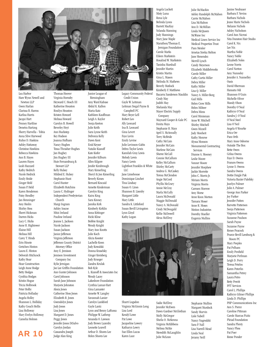

Hare Wynn Newell and Newton LLP Gwen Harlan Clarissa B. Harms Karlisa Harris Jacqui Hart Penney Hartline Denetra Hartzog Sherry Harvella - Tobia Anna Slive Harwood Rubye D. Haskins Ashley Hattaway Christine Hawkins Rebecca Hawkins Ann B. Hayes Lauren Hayes Leah Hazzard Kathy Hedrich Nicole Hedrick Emily Heide Ginger Held Susan P. Held Karen Henderson Patsy Hendley Jan Henninger Amy Heslin Shirley Hess Sherri Hickman Darren Hicks Lucy C. Hicks Anne H. Hightower Elaine Hill Melissa Hill Carey T. Hinds Erin Hinote Gretchen Hinton Laura E. Hinton Deborah Hitchcock Kathy Hoar Hoar Construction Leigh Anne Hodge Betty Hodges Cynthia Hodges Kristin Hogue Tricia Holbrook Peter Holby Patricia Holladay Angela Holley Shannon L. Holliday Kathy Couch Hollis Lisa Holloway Mary Evelyn Holloway Camelia Holmes

Thomas Hoover Virginia Hornsby Heyward C. Hosch III Katherine Houston Rosilyn Houston Kristen Howard Melissa Howard Carolyn B. Howell Beverley Hoyt Ann Huckstep Key Hudson Joanna Hufham Nancy Hughes Tessa Thrasher Hughes Jan Hughey Jim Hughey III Huie Fernambucq & Stewart LLP Kelly Hulsey Mildred E. Hulsey Stephanie Hunt Carol Hunter Elizabeth Hutchins Laura C. Hydinger Independent Presbyterian Church Margi Ingram Ashley Inscoe Mitzi Ireland Pauline Ireland Jeanne L. Jackson Nicole Jackson Susan Jackson Janice Jefferson Virginia Jefferson Jefferson County District Attorney Office Amy E. Jemison Jemison Investment Company Inc Kylie Jernigan Joe Lee Griffin Foundation Ann Gunter Johnson Carol Johnson Sarah Jane Johnson Marjorie Johnston Alesia Jones Catherine Sloss Jones Elizabeth R. Jones Gwendolyn Jones Judy Jones Lisa Jones Margaret D. Jones Peggy Jones Jennifer Jones DiSalvo Carolyn Jordan Cassandra Joseph Judge Alan King

Junior League of Birmingham Amy Ward Kabase Abdul K. Kallon Maria Katz Kathleen Kauffman Leigh A. Kaylor Sonja Keeton Julie Keith Sara Lynne Keith Defronia Kelly Dawn Kent Enid Keyser Natalie Kianoff Kate Kiefer Jennifer Kilburn Allen Kilgore Jenifer Kimbrough Mary Kimerling Sheryl & Jon Kimerling Beverly Kimes Bernard Kincaid Annette Kinderman Carolyn King Kaira King Sara Kinney Jamika Kirk Kimberly Kirklin Anna Kittinger Ricki Kline Bobbie Knight Wendy Knight Mary Ann Knotts Julie Koch Alicia Koester Lachelle Koon Judy Kowalski Donna Kraselsky Ginger Kreisberg Judy Krueger Zandra Krulak Bob Kyle L. Kianoff & Associates Inc Wendy Lacey Lakeshore Foundation Cynthia Lamar-Hart Gina Lamaster Annette W. Langley Savannah Lanier Carolyn Lankford Gayle Lantz Lynn and Benny LaRussa Philippe W. Lathrop Amanda O. Lawson Judy Brown Lazenby Leonette Leavell Arthur D. Shores Lee

Helen Shores Lee

Legacy Community Federal Credit Union Gayle W. Leitman Leitman Siegal Payne & Campbell PC Mary Beyer Lell Robert Leo Ally Leonard Ina B. Leonard Gina Levert Faye Levin Emily Levine Julie Levinson-Gabis Debra Taylor Lewis Kamilah Gray Lewis Melody Lewis Nancy Lewis Lightfoot Franklin & White LLC Jane Limehouse Dominique Linchet Tina Lindsay Susan O. Lines Shannon B. Lisenby Margaret Little Mary Little Sandra K. Littleford Susan Bevill Livingston Lynn Lloyd Kathy Logan

Angela Luckett Misty Luna Rena Lyle Belinda Lyons Barrett MacKay Yolanda Manning Judy Mannings Mary Jane Maple Marathon/Thomas E. Jernigan Foundation Carole Marks Eileen Markstein Rosalind W. Markstein Tanisha Marshall Jennifer Martin Kristin Martin Gina L. Mason Melinda M. Mathews Beverly Matlock Kimberly F. Matthews Bacarra Sanderson Mauldin Cindy May Judith May Shelanda May Mayer Electric Supply Company Maynard Cooper & Gale PC Fenita Mays Stephanie H. Mays April S. McAnnally Terry McBride Cathy McCain Jennifer McCain Marlene McCain Sheree McCall Connie McCallum Kelley McCallum Shirley McCarty Andrea G. McCaskey Teresa McClendon Angie McCord Phyllis McCrary Annie McCray Marla McCully Laura McDonald Maggie McDonald Nancy A. McDonald Cindy McDougald Kellie McDowell Alexa McElroy

Julie McMackin

Carrie McMahon Lisa McMahon Ann D. McMillan Linda McQueen McWane Inc Medical Linen Service Inc Medical Properties Trust Pam Meisler Arnetas Sireka Melton Jane Menendez Merrill Lynch Candy Meyerson Elizabeth Middlebrooks Carole Miller Cathy Curtis Miller Debra Miller Kathy Miller Lisa Q. Miller Nancy A. Miller-Borg Gail Mills Helen Crow Mills Helen Milteer Debra Mims Carol Minisman Anne W. Mitchell Shirley Mitchell Gwen Mizzell Judy Monheit Kathy Monroe Alyssa Monson Monumental Contracting

Services Dianne A. Mooney Leslie Moore Vonner Moore Jennifer Morphew Jackie Morrette John C. Morris Jr. Miriam Morris Virginia Morris Carmen Morrow Amy Morse Anne Knox Morton Tamara Moser Anne R. Moses Motion Industries Dorothy Mueller Eugenia Mullins



Sharri Logsdon Virginia McGinnis Long Lisa Lord Kendyl Lowe Pat Lowe Jacqueline Lowery Katharyn Lowry Sue Ellen Lucas Karen Luce

Sadie McElroy Jennifer McEwen Dawn Gardner McGlothan Molly McGregor Sheila O. McKenna Virginia McKibbens Melissa McKie Meredith McLaughlin Julie McLean

Stephanie Mullins Margaret Murdock Sandy Murvin Lisle Nabell Nancy Nagrodzki Sara P. Nall Lisa Narrell-Mead Linda Neal Jeramy Neill

Sandra Plenty Nancy Pless Pat Poer Reese Ponder

Ashley Randolph McMahon Janine Neubauer Barbara F. Nevins Barbara Nichols Jeane Marie Nichols Melanie Nichols Ashley Nicholson Carol Ann Nicrosi Nita Dunston Hair Studio Carol K. Nix Lee Nix Martha Noble Nancy Noble Elizabeth Noles Leone Norris Carol Norton Amy Nunneley Jennifer A. Nunnelley Oasis David Oberman Hansatu Odi Shannon O'Guin Michelle Oliver Mandy Olson Dorothy O'Neal Kathryn O'Neal Sandra J. O'Neal O'Neal Steel Lisa O'Neil Angela O'Rourke Erica Orr Pam Orth Mary Anne Osborne Outside The Box Bette Owen Celisa Owens Faye D. Owens Frances Owens Lynne S. Owens Sandra Owens Dottie Daigle Pak Victoria Baxter Palefsky Jocelyn Palmer Julie A. Palmer George Ann Parker Joy Parker **Jennifer Patten** Barvette Patterson Sonja Patterson Virginia Patterson Suzanne Paulson Sarah Payne Suzanne Payne Renee Peacock Pearce Bevill Leesburg & Moore PC Mary Peeples Pat Pelham Emily Penfield Marjorie Perlman Leigh D. Perry Teresa Petelos Karen Peterlin Samantha Petrey Laura Petro Betty Pewitt PFT Services Carol L. Phillips Kathryn Gilmer Phillips Linda D. Phillips PHP Communications Inc Ann S. Pierce Caroline Pittman Carole Marcus Pizitz Pleiad Foundation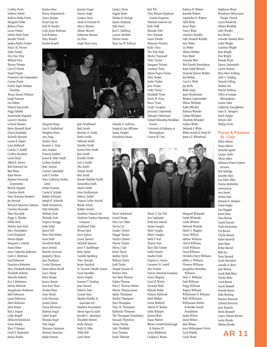Cynthia Poole Anthony Porter Kathryn Hicks Porter Margaret Porter Rebecca Posey Laura Poston Valerie Hicks Powe Jennifer Powell Andrea Bailey Powers Nancy M. Poynor Sallie Pradat Erin May Price Willard Price Murray Priester Caryl P. Privett Ingrid Propst Protective Life Corporation Connie Pruett Publix Super Markets Charities Teresa Tanner Pulliam Leigh Putnam Gia Rabito Patricia Raczynski Peggy Rafield Anntwinette Ragland Laura D. Ramsay LaVerne Ramsey Helen Braswell Rand Gloria Randolph Richelle Ransom Laurie B. Rapier Lynn Rathmell Carolyn S. Ratliff Cynthia Raulston Laura Read Alfred R. Rector Red Diamond Inc Bess Reese Katie Reeves Regions Financial Corporation Beverly Register Caroline Reich Mary Romano Rembert Jen Remick Revenue Discovery Systems Caroline Reynolds Misty Reynolds Peggy G. Rhodes Debby Rich Martha Anne Rich Mary Richardson Carol Ringland Dennis Ripple Margaret L. Ritchie Susan Ritter Anna Catherine Roberson Carla S. Roberson Loyd Roberson Faaniniva Roberson Mary Elizabeth Roberson Elizabeth Roberts Marcella Roberts Eva T. Robertson Donna Robinett Anngeleaner Robinson Kelli Robinson Laura Robinson Sheri Robinson Janis Rogan Kim J. Rogers Cathy Rogoff Millicent Ronnlund Paula Rookis Mary P. Rooney Carol E. Rosenstiel

Jessica Roskin

Katrina Ross Bunny Rotenstreich Nancy Rousso Royal Cup Inc Kelli M. Rucker Carly Jayne Rullman Gail Rushton Mary Russell Rachel Russell

Amy Saag

Lewis

Judie Seitel Janice Self

Anne Senft

Rhonda Siegel Toby Siegel Shannon Simmons Sherron Simmons Jackie Simons

Jeannie Singer Sanjay Singh Lindsay Sinor Sirote & Permutt PC Alice J. Skinner Allison Skinner Katherine Skinner Liz Slive Leigh Sloss-Corra

Linda J. Stone Angela Stowe Melissa B. Strange Queen Stratman Debi Strevy Jera G. Stribling Lauren Stricklin Sharon Stuart Mary Lee W. Sullivan

> Yolanda N. Sullivan Surgical Care Affiliates Susan Swagler



Katrina M. Watson Jeanette Watters Latanishia D. Watters Holli Watts Jenny Watts Nancy Watts Gretchen Waudby Sally Broatch Waudby Amy Weber Liz Weber Allison Webster Pam Weed Amanda Weil Weil Family Foundation Katie Suttle Weinert Amanda Starnes Welden Joel Welker Carol A. Wells Jan Wells Wells Fargo Janet Wertheimer Western Supermarket Allison Westlake Kathy Whatley Barbara Wheeler Celeste Whitaker Charlotte Whitaker Andrea White Deborah F. White White Arnold & Dowd PC Jessica D. Whitehead

Sherri Swickward Laurel Swope Mary Lou Taber Tacala LLC Lindsey Tanner Maggie Tanner Marilyn Tanner Sherrie Tarpley Melva J. Tate Karen Tauxe Andrea Taylor William Taylor Leah Taylor Temple Emanu-El Bentina Terry Ann Beck Thomas Valerie Thomas Mary J. Thomas-Brewer Sherrie Thomas-Jones Adelia Thompson Martha Thompson Staci Thompson Tracy M. Thompson Katherine Thomson The Thompson Foundation Hannah Thornbury Teresa Thorne Sally Threlkeld Gray Thuston Emily Tidmore

Ruth Ann Varnell Denise Vaughn Molly Vaughn Sherry Vaughn Adele P. Veal Sharon Venz Mary Ella Vickers India Vincent Sandra Vinik Virginia A. Vinson Cameron M. Vowell Ann Vrocher Vulcan Materials Company Nancy Wagnon Carol H. Waites Suzanne Wald Belinda Waldo Patricia Wallwork Kristi Walters Carrie Walthall Valeria M. Walton Leslie Wampol Joanna Ware Susan Warren Warren Averett Kimbrough & Marino PC Laura Washburn Candace J. Wason

Williams & Brooke Family Foundation Lynn Woehle Cindy Wood

Stephanie Wood Woodlawn Deliverance Temple Church Laura Woodruff Odessa Woolfolk Sally Woolley Kay Worley Onwotta Tameka Wren Cathy Wright Courtney Wright Joan Wright Rita Wright Brenda Wyatt Danna Yarmowich Laurie Yearout Bess Owen Yeilding Sally S. Yeilding Tamula Yelling Melissa Yen Marcie Yielding YMCA of Greater Birmingham Louise Yoder Catherine Youngblood Anne R. Yuengert Emily Zeigler DeLynn Zell Melissa Zivitz

#### **Purse & Passion St. Clair**

Helen Adams Sonja Adams Amanda Agnew Lavane Aiello Allyne Aiken Alabama Power Eastern Division Deb Aldridge Jeanette Allen Lou Ellen Allen Donna Ambrosius **Anonymous** Ann Arnett Artistic Hair Johnnie H. Atchison Susan Bagby Lisa Baggett Karen Bain Nina Barnes Carole Barnett Trista Barrentine Pat Barrett Phyllis Barrett Karen Barwick Janet Bean Robin Becnel Belk Inc Dean Bennett Emily Bernstein Genelle H. Berry Jane Bishop Sarah Beth Blair Shirley Bobo Carol Boone Nicole Boswell Donette Bower Mike Bowling Rosalyn Bowman Christal Brannon June Brascho Helen Braswell Nancy Tarrant Brewer Lorrie Brooks Melissa Brooks

AR 11

Margaret Russo Lisa H. Rutherford Meaghan Ryan Shalini Saini Jeanene C. Salze Amy Sanders Frances Sanders Janice K. Elder Sandy LaTasia Sanford Betty Sartain Carolyn Satterfield Leah F. Scalise Mary Catherine Scalise Amber Scanlan Carole B. Schafer Bobbie Schlueter Joseph R. Schmidt Heidi Schoonover Patti Schwefler Melinda Scott Michelle Scott Virginia Scruggs Mary Noel Sellers ServisFirst Bank Joyce Serwitz Marylin Seymour Jacquelyn Shaia Jane Shalhoop Crystal Shannon Dawn Helms Sharff Lisa J. Sharp Keisa Sharpe Jessica Shaver June Fore Shaw Trinket Shaw Anne Shealy Leah Sherman Lauren Shine Tanya Shunnara Barbara Siegal Isabel Siegal Jean Smallwood Beth Smith Beverley H. Smith Butch Smith Deborah Smith Dorothy Smith Iyesha Petty Smith Jane Smith Jennifer Smith .<br>Lori A. Smith Mia Smith Natalie Smith Rita Smith Rosalie Bahakel Smith Samantha Smith Sheila Smith Irino Smitherman Debra J. Snider Virginia Lolley Socolof Wendy Soniat Robbin Sorrell Southern Natural Gas Southern Nuclear Operating Company Southland Tube Wynne Speir Joyce Spence Lynne Spencer Michelle Spencer Joyce T. Spielberger Betsy Spivey Camille Spratling Tracy Sproule Jenise Spurlock St. Vincent's Health System Carol Standifer Karon Staples Sumner T. Starling Joan Starnes Patricia Starr Connie Stein Stephen Bradley & Associates LLC Stephens Foundation Sterne Agee & Leach Jennifer C. Stevenson

Elizabeth Stewart Kristy Stewart Holly H. Stiles Nikki Still Carol Stone

Gwendolyn Swain

Sherri S. Van Pelt Ann Vaphiades

Margaret Whiteside Sarah Whiteside Lynda Whitney Deborah Wiatrak Shelly S. Wiggins Ginny Willcox Adeline Williams Cheryl Williams Cindy Williams Dana Williams DeValerie Harry Williams Jeffrey A. Williams Florence Williams Jacqueline Hamilton Mary A. Williams Patti Williams Peggy Williams Regina Williams Wilhelmine D. Williams Kelly Williamson Williamson Martin Jackie Wilson Jamie Wilson Judy Wilson Joan Witherspoon-Norris